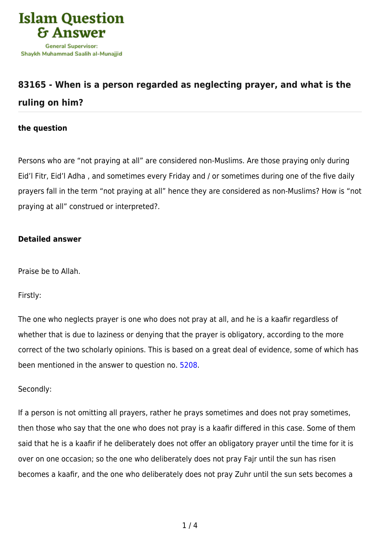

## **[83165 - When is a person regarded as neglecting prayer, and what is the](https://islamqa.com/en/answers/83165/when-is-a-person-regarded-as-neglecting-prayer-and-what-is-the-ruling-on-him) [ruling on him?](https://islamqa.com/en/answers/83165/when-is-a-person-regarded-as-neglecting-prayer-and-what-is-the-ruling-on-him)**

## **the question**

Persons who are "not praying at all" are considered non-Muslims. Are those praying only during Eid'l Fitr, Eid'l Adha , and sometimes every Friday and / or sometimes during one of the five daily prayers fall in the term "not praying at all" hence they are considered as non-Muslims? How is "not praying at all" construed or interpreted?.

## **Detailed answer**

Praise be to Allah.

Firstly:

The one who neglects prayer is one who does not pray at all, and he is a kaafir regardless of whether that is due to laziness or denying that the prayer is obligatory, according to the more correct of the two scholarly opinions. This is based on a great deal of evidence, some of which has been mentioned in the answer to question no. [5208](https://islamqa.com/en/answers/5208).

## Secondly:

If a person is not omitting all prayers, rather he prays sometimes and does not pray sometimes, then those who say that the one who does not pray is a kaafir differed in this case. Some of them said that he is a kaafir if he deliberately does not offer an obligatory prayer until the time for it is over on one occasion; so the one who deliberately does not pray Fajr until the sun has risen becomes a kaafir, and the one who deliberately does not pray Zuhr until the sun sets becomes a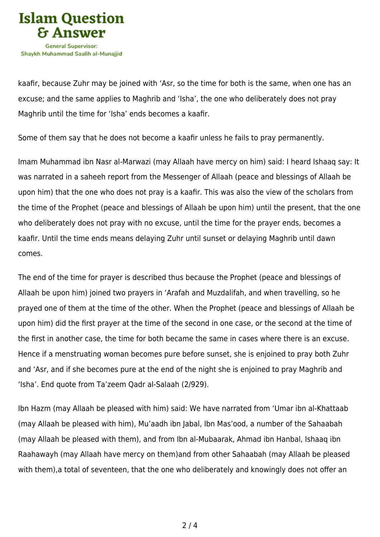

kaafir, because Zuhr may be joined with 'Asr, so the time for both is the same, when one has an excuse; and the same applies to Maghrib and 'Isha', the one who deliberately does not pray Maghrib until the time for 'Isha' ends becomes a kaafir.

Some of them say that he does not become a kaafir unless he fails to pray permanently.

Imam Muhammad ibn Nasr al-Marwazi (may Allaah have mercy on him) said: I heard Ishaaq say: It was narrated in a saheeh report from the Messenger of Allaah (peace and blessings of Allaah be upon him) that the one who does not pray is a kaafir. This was also the view of the scholars from the time of the Prophet (peace and blessings of Allaah be upon him) until the present, that the one who deliberately does not pray with no excuse, until the time for the prayer ends, becomes a kaafir. Until the time ends means delaying Zuhr until sunset or delaying Maghrib until dawn comes.

The end of the time for prayer is described thus because the Prophet (peace and blessings of Allaah be upon him) joined two prayers in 'Arafah and Muzdalifah, and when travelling, so he prayed one of them at the time of the other. When the Prophet (peace and blessings of Allaah be upon him) did the first prayer at the time of the second in one case, or the second at the time of the first in another case, the time for both became the same in cases where there is an excuse. Hence if a menstruating woman becomes pure before sunset, she is enjoined to pray both Zuhr and 'Asr, and if she becomes pure at the end of the night she is enjoined to pray Maghrib and 'Isha'. End quote from Ta'zeem Qadr al-Salaah (2/929).

Ibn Hazm (may Allaah be pleased with him) said: We have narrated from 'Umar ibn al-Khattaab (may Allaah be pleased with him), Mu'aadh ibn Jabal, Ibn Mas'ood, a number of the Sahaabah (may Allaah be pleased with them), and from Ibn al-Mubaarak, Ahmad ibn Hanbal, Ishaaq ibn Raahawayh (may Allaah have mercy on them)and from other Sahaabah (may Allaah be pleased with them),a total of seventeen, that the one who deliberately and knowingly does not offer an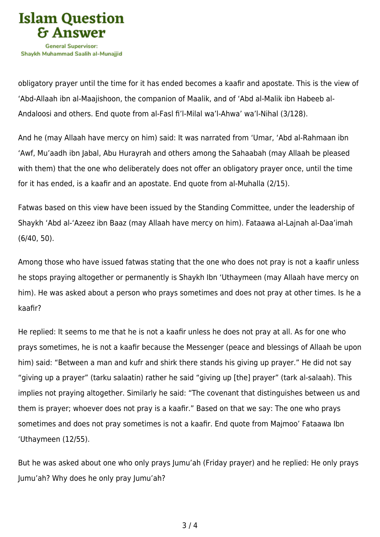

obligatory prayer until the time for it has ended becomes a kaafir and apostate. This is the view of 'Abd-Allaah ibn al-Maajishoon, the companion of Maalik, and of 'Abd al-Malik ibn Habeeb al-Andaloosi and others. End quote from al-Fasl fi'l-Milal wa'l-Ahwa' wa'l-Nihal (3/128).

And he (may Allaah have mercy on him) said: It was narrated from 'Umar, 'Abd al-Rahmaan ibn 'Awf, Mu'aadh ibn Jabal, Abu Hurayrah and others among the Sahaabah (may Allaah be pleased with them) that the one who deliberately does not offer an obligatory prayer once, until the time for it has ended, is a kaafir and an apostate. End quote from al-Muhalla (2/15).

Fatwas based on this view have been issued by the Standing Committee, under the leadership of Shaykh 'Abd al-'Azeez ibn Baaz (may Allaah have mercy on him). Fataawa al-Lajnah al-Daa'imah (6/40, 50).

Among those who have issued fatwas stating that the one who does not pray is not a kaafir unless he stops praying altogether or permanently is Shaykh Ibn 'Uthaymeen (may Allaah have mercy on him). He was asked about a person who prays sometimes and does not pray at other times. Is he a kaafir?

He replied: It seems to me that he is not a kaafir unless he does not pray at all. As for one who prays sometimes, he is not a kaafir because the Messenger (peace and blessings of Allaah be upon him) said: "Between a man and kufr and shirk there stands his giving up prayer." He did not say "giving up a prayer" (tarku salaatin) rather he said "giving up [the] prayer" (tark al-salaah). This implies not praying altogether. Similarly he said: "The covenant that distinguishes between us and them is prayer; whoever does not pray is a kaafir." Based on that we say: The one who prays sometimes and does not pray sometimes is not a kaafir. End quote from Majmoo' Fataawa Ibn 'Uthaymeen (12/55).

But he was asked about one who only prays Jumu'ah (Friday prayer) and he replied: He only prays Jumu'ah? Why does he only pray Jumu'ah?